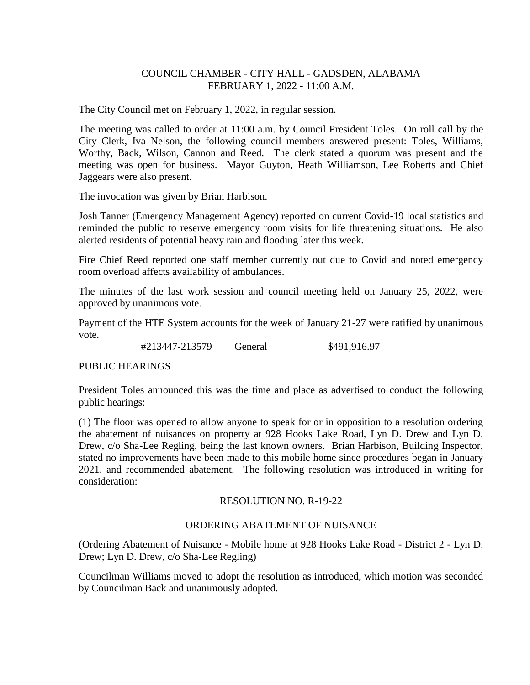## COUNCIL CHAMBER - CITY HALL - GADSDEN, ALABAMA FEBRUARY 1, 2022 - 11:00 A.M.

The City Council met on February 1, 2022, in regular session.

The meeting was called to order at 11:00 a.m. by Council President Toles. On roll call by the City Clerk, Iva Nelson, the following council members answered present: Toles, Williams, Worthy, Back, Wilson, Cannon and Reed. The clerk stated a quorum was present and the meeting was open for business. Mayor Guyton, Heath Williamson, Lee Roberts and Chief Jaggears were also present.

The invocation was given by Brian Harbison.

Josh Tanner (Emergency Management Agency) reported on current Covid-19 local statistics and reminded the public to reserve emergency room visits for life threatening situations. He also alerted residents of potential heavy rain and flooding later this week.

Fire Chief Reed reported one staff member currently out due to Covid and noted emergency room overload affects availability of ambulances.

The minutes of the last work session and council meeting held on January 25, 2022, were approved by unanimous vote.

Payment of the HTE System accounts for the week of January 21-27 were ratified by unanimous vote.

#213447-213579 General \$491,916.97

#### PUBLIC HEARINGS

President Toles announced this was the time and place as advertised to conduct the following public hearings:

(1) The floor was opened to allow anyone to speak for or in opposition to a resolution ordering the abatement of nuisances on property at 928 Hooks Lake Road, Lyn D. Drew and Lyn D. Drew, c/o Sha-Lee Regling, being the last known owners. Brian Harbison, Building Inspector, stated no improvements have been made to this mobile home since procedures began in January 2021, and recommended abatement. The following resolution was introduced in writing for consideration:

#### RESOLUTION NO. R-19-22

#### ORDERING ABATEMENT OF NUISANCE

(Ordering Abatement of Nuisance - Mobile home at 928 Hooks Lake Road - District 2 - Lyn D. Drew; Lyn D. Drew, c/o Sha-Lee Regling)

Councilman Williams moved to adopt the resolution as introduced, which motion was seconded by Councilman Back and unanimously adopted.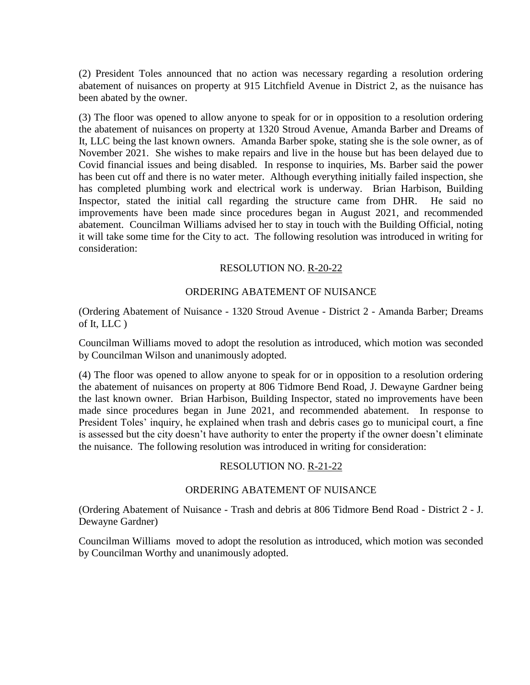(2) President Toles announced that no action was necessary regarding a resolution ordering abatement of nuisances on property at 915 Litchfield Avenue in District 2, as the nuisance has been abated by the owner.

(3) The floor was opened to allow anyone to speak for or in opposition to a resolution ordering the abatement of nuisances on property at 1320 Stroud Avenue, Amanda Barber and Dreams of It, LLC being the last known owners. Amanda Barber spoke, stating she is the sole owner, as of November 2021. She wishes to make repairs and live in the house but has been delayed due to Covid financial issues and being disabled. In response to inquiries, Ms. Barber said the power has been cut off and there is no water meter. Although everything initially failed inspection, she has completed plumbing work and electrical work is underway. Brian Harbison, Building Inspector, stated the initial call regarding the structure came from DHR. He said no improvements have been made since procedures began in August 2021, and recommended abatement. Councilman Williams advised her to stay in touch with the Building Official, noting it will take some time for the City to act. The following resolution was introduced in writing for consideration:

## RESOLUTION NO. R-20-22

## ORDERING ABATEMENT OF NUISANCE

(Ordering Abatement of Nuisance - 1320 Stroud Avenue - District 2 - Amanda Barber; Dreams of It, LLC )

Councilman Williams moved to adopt the resolution as introduced, which motion was seconded by Councilman Wilson and unanimously adopted.

(4) The floor was opened to allow anyone to speak for or in opposition to a resolution ordering the abatement of nuisances on property at 806 Tidmore Bend Road, J. Dewayne Gardner being the last known owner. Brian Harbison, Building Inspector, stated no improvements have been made since procedures began in June 2021, and recommended abatement. In response to President Toles' inquiry, he explained when trash and debris cases go to municipal court, a fine is assessed but the city doesn't have authority to enter the property if the owner doesn't eliminate the nuisance. The following resolution was introduced in writing for consideration:

## RESOLUTION NO. R-21-22

## ORDERING ABATEMENT OF NUISANCE

(Ordering Abatement of Nuisance - Trash and debris at 806 Tidmore Bend Road - District 2 - J. Dewayne Gardner)

Councilman Williams moved to adopt the resolution as introduced, which motion was seconded by Councilman Worthy and unanimously adopted.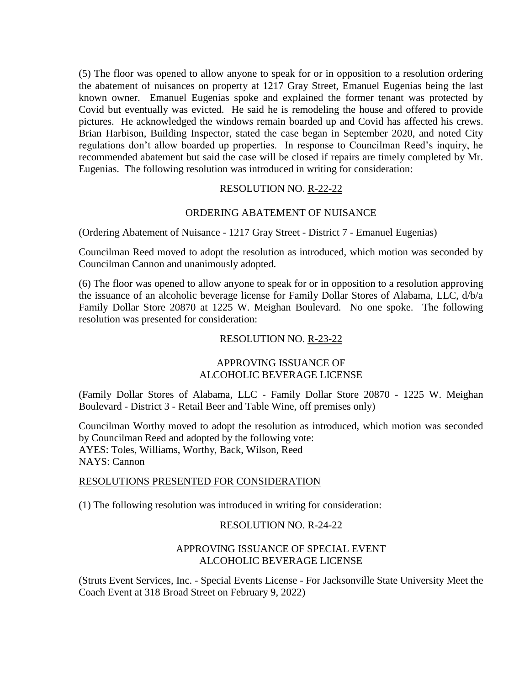(5) The floor was opened to allow anyone to speak for or in opposition to a resolution ordering the abatement of nuisances on property at 1217 Gray Street, Emanuel Eugenias being the last known owner. Emanuel Eugenias spoke and explained the former tenant was protected by Covid but eventually was evicted. He said he is remodeling the house and offered to provide pictures. He acknowledged the windows remain boarded up and Covid has affected his crews. Brian Harbison, Building Inspector, stated the case began in September 2020, and noted City regulations don't allow boarded up properties. In response to Councilman Reed's inquiry, he recommended abatement but said the case will be closed if repairs are timely completed by Mr. Eugenias. The following resolution was introduced in writing for consideration:

# RESOLUTION NO. R-22-22

# ORDERING ABATEMENT OF NUISANCE

(Ordering Abatement of Nuisance - 1217 Gray Street - District 7 - Emanuel Eugenias)

Councilman Reed moved to adopt the resolution as introduced, which motion was seconded by Councilman Cannon and unanimously adopted.

(6) The floor was opened to allow anyone to speak for or in opposition to a resolution approving the issuance of an alcoholic beverage license for Family Dollar Stores of Alabama, LLC, d/b/a Family Dollar Store 20870 at 1225 W. Meighan Boulevard. No one spoke. The following resolution was presented for consideration:

## RESOLUTION NO. R-23-22

## APPROVING ISSUANCE OF ALCOHOLIC BEVERAGE LICENSE

(Family Dollar Stores of Alabama, LLC - Family Dollar Store 20870 - 1225 W. Meighan Boulevard - District 3 - Retail Beer and Table Wine, off premises only)

Councilman Worthy moved to adopt the resolution as introduced, which motion was seconded by Councilman Reed and adopted by the following vote: AYES: Toles, Williams, Worthy, Back, Wilson, Reed NAYS: Cannon

## RESOLUTIONS PRESENTED FOR CONSIDERATION

(1) The following resolution was introduced in writing for consideration:

## RESOLUTION NO. R-24-22

# APPROVING ISSUANCE OF SPECIAL EVENT ALCOHOLIC BEVERAGE LICENSE

(Struts Event Services, Inc. - Special Events License - For Jacksonville State University Meet the Coach Event at 318 Broad Street on February 9, 2022)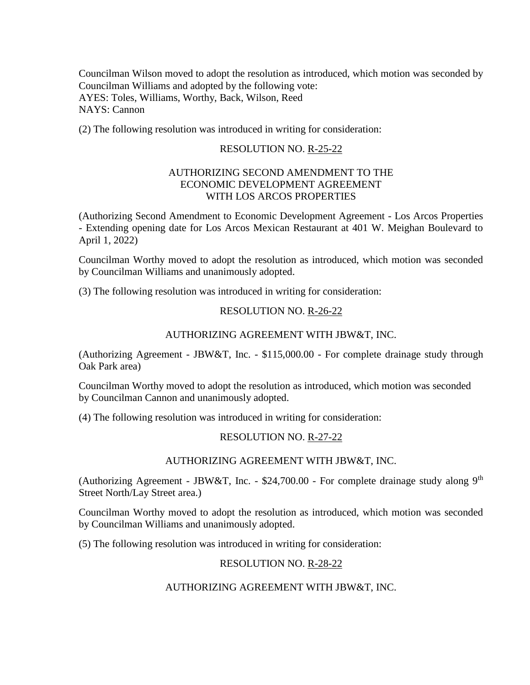Councilman Wilson moved to adopt the resolution as introduced, which motion was seconded by Councilman Williams and adopted by the following vote: AYES: Toles, Williams, Worthy, Back, Wilson, Reed NAYS: Cannon

(2) The following resolution was introduced in writing for consideration:

## RESOLUTION NO. R-25-22

## AUTHORIZING SECOND AMENDMENT TO THE ECONOMIC DEVELOPMENT AGREEMENT WITH LOS ARCOS PROPERTIES

(Authorizing Second Amendment to Economic Development Agreement - Los Arcos Properties - Extending opening date for Los Arcos Mexican Restaurant at 401 W. Meighan Boulevard to April 1, 2022)

Councilman Worthy moved to adopt the resolution as introduced, which motion was seconded by Councilman Williams and unanimously adopted.

(3) The following resolution was introduced in writing for consideration:

## RESOLUTION NO. R-26-22

#### AUTHORIZING AGREEMENT WITH JBW&T, INC.

(Authorizing Agreement - JBW&T, Inc. - \$115,000.00 - For complete drainage study through Oak Park area)

Councilman Worthy moved to adopt the resolution as introduced, which motion was seconded by Councilman Cannon and unanimously adopted.

(4) The following resolution was introduced in writing for consideration:

## RESOLUTION NO. R-27-22

#### AUTHORIZING AGREEMENT WITH JBW&T, INC.

(Authorizing Agreement - JBW&T, Inc. - \$24,700.00 - For complete drainage study along  $9<sup>th</sup>$ Street North/Lay Street area.)

Councilman Worthy moved to adopt the resolution as introduced, which motion was seconded by Councilman Williams and unanimously adopted.

(5) The following resolution was introduced in writing for consideration:

## RESOLUTION NO. R-28-22

## AUTHORIZING AGREEMENT WITH JBW&T, INC.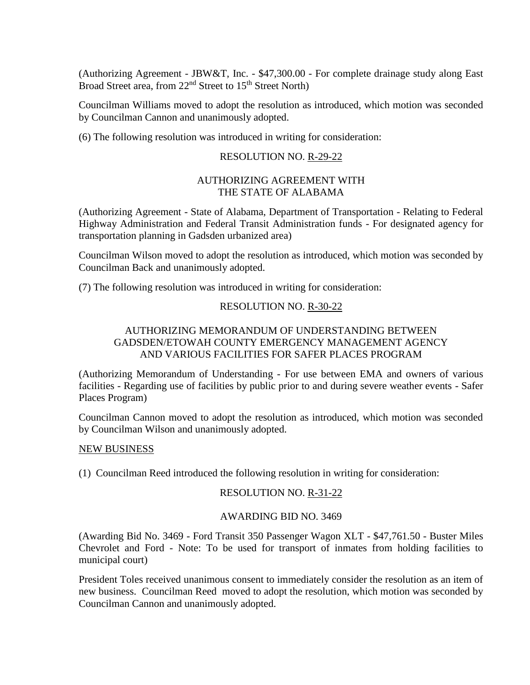(Authorizing Agreement - JBW&T, Inc. - \$47,300.00 - For complete drainage study along East Broad Street area, from 22<sup>nd</sup> Street to 15<sup>th</sup> Street North)

Councilman Williams moved to adopt the resolution as introduced, which motion was seconded by Councilman Cannon and unanimously adopted.

(6) The following resolution was introduced in writing for consideration:

#### RESOLUTION NO. R-29-22

## AUTHORIZING AGREEMENT WITH THE STATE OF ALABAMA

(Authorizing Agreement - State of Alabama, Department of Transportation - Relating to Federal Highway Administration and Federal Transit Administration funds - For designated agency for transportation planning in Gadsden urbanized area)

Councilman Wilson moved to adopt the resolution as introduced, which motion was seconded by Councilman Back and unanimously adopted.

(7) The following resolution was introduced in writing for consideration:

## RESOLUTION NO. R-30-22

# AUTHORIZING MEMORANDUM OF UNDERSTANDING BETWEEN GADSDEN/ETOWAH COUNTY EMERGENCY MANAGEMENT AGENCY AND VARIOUS FACILITIES FOR SAFER PLACES PROGRAM

(Authorizing Memorandum of Understanding - For use between EMA and owners of various facilities - Regarding use of facilities by public prior to and during severe weather events - Safer Places Program)

Councilman Cannon moved to adopt the resolution as introduced, which motion was seconded by Councilman Wilson and unanimously adopted.

#### NEW BUSINESS

(1) Councilman Reed introduced the following resolution in writing for consideration:

## RESOLUTION NO. R-31-22

#### AWARDING BID NO. 3469

(Awarding Bid No. 3469 - Ford Transit 350 Passenger Wagon XLT - \$47,761.50 - Buster Miles Chevrolet and Ford - Note: To be used for transport of inmates from holding facilities to municipal court)

President Toles received unanimous consent to immediately consider the resolution as an item of new business. Councilman Reed moved to adopt the resolution, which motion was seconded by Councilman Cannon and unanimously adopted.